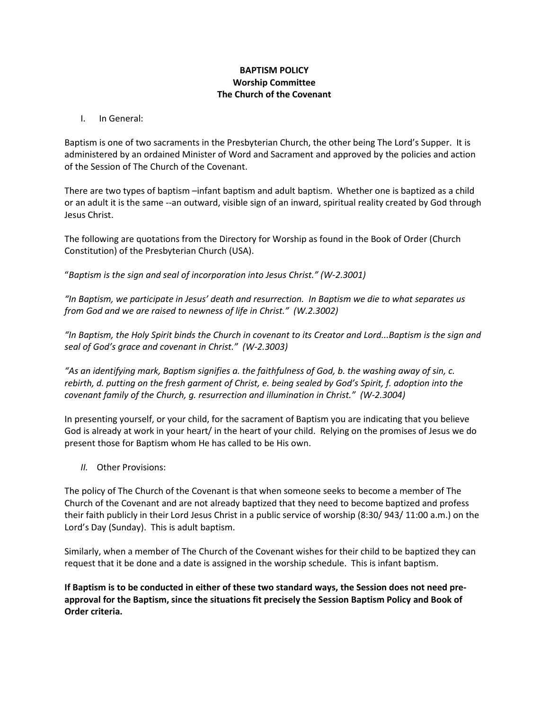## BAPTISM POLICY Worship Committee The Church of the Covenant

## I. In General:

Baptism is one of two sacraments in the Presbyterian Church, the other being The Lord's Supper. It is administered by an ordained Minister of Word and Sacrament and approved by the policies and action of the Session of The Church of the Covenant.

There are two types of baptism –infant baptism and adult baptism. Whether one is baptized as a child or an adult it is the same --an outward, visible sign of an inward, spiritual reality created by God through Jesus Christ.

The following are quotations from the Directory for Worship as found in the Book of Order (Church Constitution) of the Presbyterian Church (USA).

"Baptism is the sign and seal of incorporation into Jesus Christ." (W-2.3001)

"In Baptism, we participate in Jesus' death and resurrection. In Baptism we die to what separates us from God and we are raised to newness of life in Christ." (W.2.3002)

"In Baptism, the Holy Spirit binds the Church in covenant to its Creator and Lord...Baptism is the sign and seal of God's grace and covenant in Christ." (W-2.3003)

"As an identifying mark, Baptism signifies a. the faithfulness of God, b. the washing away of sin, c. rebirth, d. putting on the fresh garment of Christ, e. being sealed by God's Spirit, f. adoption into the covenant family of the Church, g. resurrection and illumination in Christ." (W-2.3004)

In presenting yourself, or your child, for the sacrament of Baptism you are indicating that you believe God is already at work in your heart/ in the heart of your child. Relying on the promises of Jesus we do present those for Baptism whom He has called to be His own.

II. Other Provisions:

The policy of The Church of the Covenant is that when someone seeks to become a member of The Church of the Covenant and are not already baptized that they need to become baptized and profess their faith publicly in their Lord Jesus Christ in a public service of worship (8:30/ 943/ 11:00 a.m.) on the Lord's Day (Sunday). This is adult baptism.

Similarly, when a member of The Church of the Covenant wishes for their child to be baptized they can request that it be done and a date is assigned in the worship schedule. This is infant baptism.

If Baptism is to be conducted in either of these two standard ways, the Session does not need preapproval for the Baptism, since the situations fit precisely the Session Baptism Policy and Book of Order criteria.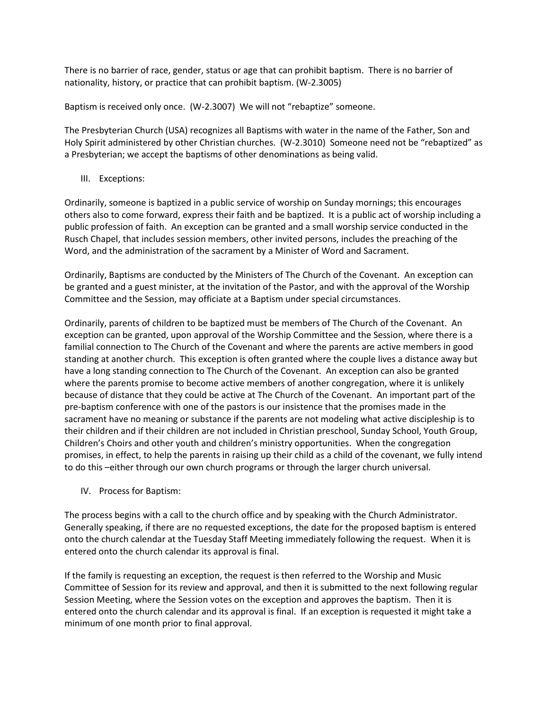There is no barrier of race, gender, status or age that can prohibit baptism. There is no barrier of nationality, history, or practice that can prohibit baptism. (W-2.3005)

Baptism is received only once. (W-2.3007) We will not "rebaptize" someone.

The Presbyterian Church (USA) recognizes all Baptisms with water in the name of the Father, Son and Holy Spirit administered by other Christian churches. (W-2.3010) Someone need not be "rebaptized" as a Presbyterian; we accept the baptisms of other denominations as being valid.

III. Exceptions:

Ordinarily, someone is baptized in a public service of worship on Sunday mornings; this encourages others also to come forward, express their faith and be baptized. It is a public act of worship including a public profession of faith. An exception can be granted and a small worship service conducted in the Rusch Chapel, that includes session members, other invited persons, includes the preaching of the Word, and the administration of the sacrament by a Minister of Word and Sacrament.

Ordinarily, Baptisms are conducted by the Ministers of The Church of the Covenant. An exception can be granted and a guest minister, at the invitation of the Pastor, and with the approval of the Worship Committee and the Session, may officiate at a Baptism under special circumstances.

Ordinarily, parents of children to be baptized must be members of The Church of the Covenant. An exception can be granted, upon approval of the Worship Committee and the Session, where there is a familial connection to The Church of the Covenant and where the parents are active members in good standing at another church. This exception is often granted where the couple lives a distance away but have a long standing connection to The Church of the Covenant. An exception can also be granted where the parents promise to become active members of another congregation, where it is unlikely because of distance that they could be active at The Church of the Covenant. An important part of the pre-baptism conference with one of the pastors is our insistence that the promises made in the sacrament have no meaning or substance if the parents are not modeling what active discipleship is to their children and if their children are not included in Christian preschool, Sunday School, Youth Group, Children's Choirs and other youth and children's ministry opportunities. When the congregation promises, in effect, to help the parents in raising up their child as a child of the covenant, we fully intend to do this –either through our own church programs or through the larger church universal.

IV. Process for Baptism:

The process begins with a call to the church office and by speaking with the Church Administrator. Generally speaking, if there are no requested exceptions, the date for the proposed baptism is entered onto the church calendar at the Tuesday Staff Meeting immediately following the request. When it is entered onto the church calendar its approval is final.

If the family is requesting an exception, the request is then referred to the Worship and Music Committee of Session for its review and approval, and then it is submitted to the next following regular Session Meeting, where the Session votes on the exception and approves the baptism. Then it is entered onto the church calendar and its approval is final. If an exception is requested it might take a minimum of one month prior to final approval.